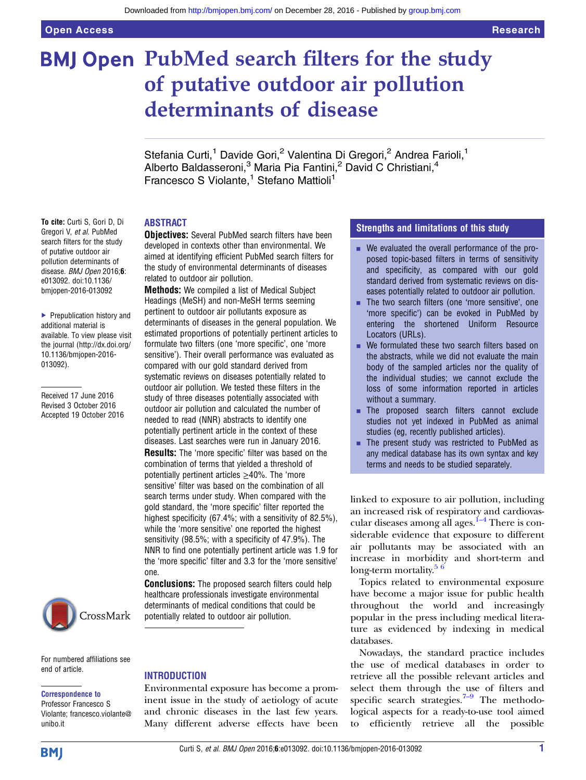# **BMJ Open PubMed search filters for the study** of putative outdoor air pollution determinants of disease

Stefania Curti,<sup>1</sup> Davide Gori,<sup>2</sup> Valentina Di Gregori,<sup>2</sup> Andrea Farioli,<sup>1</sup> Alberto Baldasseroni,<sup>3</sup> Maria Pia Fantini,<sup>2</sup> David C Christiani,<sup>4</sup> Francesco S Violante,<sup>1</sup> Stefano Mattioli<sup>1</sup>

#### ABSTRACT

To cite: Curti S, Gori D, Di Gregori V, et al. PubMed search filters for the study of putative outdoor air pollution determinants of disease. BMJ Open 2016;6: e013092. doi:10.1136/ bmjopen-2016-013092

▶ Prepublication history and additional material is available. To view please visit the journal [\(http://dx.doi.org/](http://dx.doi.org/10.1136/bmjopen-2016-013092) [10.1136/bmjopen-2016-](http://dx.doi.org/10.1136/bmjopen-2016-013092) [013092\)](http://dx.doi.org/10.1136/bmjopen-2016-013092).

Received 17 June 2016 Revised 3 October 2016 Accepted 19 October 2016



For numbered affiliations see end of article.

#### Correspondence to

Professor Francesco S Violante; francesco.violante@ unibo.it

**Objectives:** Several PubMed search filters have been developed in contexts other than environmental. We aimed at identifying efficient PubMed search filters for the study of environmental determinants of diseases related to outdoor air pollution.

Methods: We compiled a list of Medical Subject Headings (MeSH) and non-MeSH terms seeming pertinent to outdoor air pollutants exposure as determinants of diseases in the general population. We estimated proportions of potentially pertinent articles to formulate two filters (one 'more specific', one 'more sensitive'). Their overall performance was evaluated as compared with our gold standard derived from systematic reviews on diseases potentially related to outdoor air pollution. We tested these filters in the study of three diseases potentially associated with outdoor air pollution and calculated the number of needed to read (NNR) abstracts to identify one potentially pertinent article in the context of these diseases. Last searches were run in January 2016. Results: The 'more specific' filter was based on the combination of terms that yielded a threshold of potentially pertinent articles  $\geq$ 40%. The 'more sensitive' filter was based on the combination of all search terms under study. When compared with the gold standard, the 'more specific' filter reported the highest specificity (67.4%; with a sensitivity of 82.5%), while the 'more sensitive' one reported the highest sensitivity (98.5%; with a specificity of 47.9%). The NNR to find one potentially pertinent article was 1.9 for the 'more specific' filter and 3.3 for the 'more sensitive' one.

**Conclusions:** The proposed search filters could help healthcare professionals investigate environmental determinants of medical conditions that could be potentially related to outdoor air pollution.

#### INTRODUCTION

Environmental exposure has become a prominent issue in the study of aetiology of acute and chronic diseases in the last few years. Many different adverse effects have been

### Strengths and limitations of this study

- We evaluated the overall performance of the proposed topic-based filters in terms of sensitivity and specificity, as compared with our gold standard derived from systematic reviews on diseases potentially related to outdoor air pollution.
- The two search filters (one 'more sensitive', one 'more specific') can be evoked in PubMed by entering the shortened Uniform Resource Locators (URLs).
- $\blacksquare$  We formulated these two search filters based on the abstracts, while we did not evaluate the main body of the sampled articles nor the quality of the individual studies; we cannot exclude the loss of some information reported in articles without a summary.
- **EXECUTE:** The proposed search filters cannot exclude studies not yet indexed in PubMed as animal studies (eg, recently published articles).
- The present study was restricted to PubMed as any medical database has its own syntax and key terms and needs to be studied separately.

linked to exposure to air pollution, including an increased risk of respiratory and cardiovascular diseases among all ages.<sup>1–4</sup> There is considerable evidence that exposure to different air pollutants may be associated with an increase in morbidity and short-term and long-term mortality.<sup>5 6</sup>

Topics related to environmental exposure have become a major issue for public health throughout the world and increasingly popular in the press including medical literature as evidenced by indexing in medical databases.

Nowadays, the standard practice includes the use of medical databases in order to retrieve all the possible relevant articles and select them through the [us](#page-8-0)e of filters and specific search strategies. $7-9$  The methodological aspects for a ready-to-use tool aimed to efficiently retrieve all the possible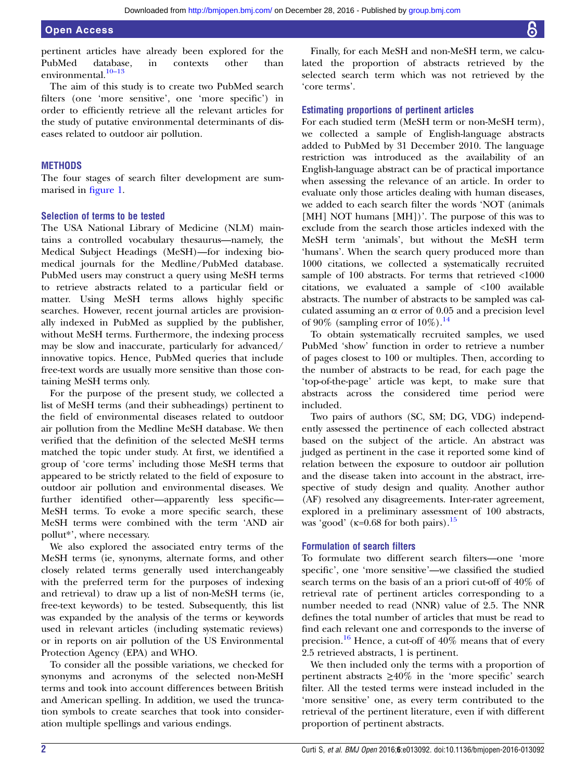pertinent articles have already been explored for the PubMed database, in contexts other than environmental.<sup>[10](#page-8-0)–13</sup>

The aim of this study is to create two PubMed search filters (one 'more sensitive', one 'more specific') in order to efficiently retrieve all the relevant articles for the study of putative environmental determinants of diseases related to outdoor air pollution.

#### **METHODS**

The four stages of search filter development are summarised in fi[gure 1](#page-2-0).

#### Selection of terms to be tested

The USA National Library of Medicine (NLM) maintains a controlled vocabulary thesaurus—namely, the Medical Subject Headings (MeSH)—for indexing biomedical journals for the Medline/PubMed database. PubMed users may construct a query using MeSH terms to retrieve abstracts related to a particular field or matter. Using MeSH terms allows highly specific searches. However, recent journal articles are provisionally indexed in PubMed as supplied by the publisher, without MeSH terms. Furthermore, the indexing process may be slow and inaccurate, particularly for advanced/ innovative topics. Hence, PubMed queries that include free-text words are usually more sensitive than those containing MeSH terms only.

For the purpose of the present study, we collected a list of MeSH terms (and their subheadings) pertinent to the field of environmental diseases related to outdoor air pollution from the Medline MeSH database. We then verified that the definition of the selected MeSH terms matched the topic under study. At first, we identified a group of 'core terms' including those MeSH terms that appeared to be strictly related to the field of exposure to outdoor air pollution and environmental diseases. We further identified other—apparently less specific— MeSH terms. To evoke a more specific search, these MeSH terms were combined with the term 'AND air pollut\*', where necessary.

We also explored the associated entry terms of the MeSH terms (ie, synonyms, alternate forms, and other closely related terms generally used interchangeably with the preferred term for the purposes of indexing and retrieval) to draw up a list of non-MeSH terms (ie, free-text keywords) to be tested. Subsequently, this list was expanded by the analysis of the terms or keywords used in relevant articles (including systematic reviews) or in reports on air pollution of the US Environmental Protection Agency (EPA) and WHO.

To consider all the possible variations, we checked for synonyms and acronyms of the selected non-MeSH terms and took into account differences between British and American spelling. In addition, we used the truncation symbols to create searches that took into consideration multiple spellings and various endings.

Finally, for each MeSH and non-MeSH term, we calculated the proportion of abstracts retrieved by the selected search term which was not retrieved by the 'core terms'.

#### Estimating proportions of pertinent articles

For each studied term (MeSH term or non-MeSH term), we collected a sample of English-language abstracts added to PubMed by 31 December 2010. The language restriction was introduced as the availability of an English-language abstract can be of practical importance when assessing the relevance of an article. In order to evaluate only those articles dealing with human diseases, we added to each search filter the words 'NOT (animals [MH] NOT humans [MH])'. The purpose of this was to exclude from the search those articles indexed with the MeSH term 'animals', but without the MeSH term 'humans'. When the search query produced more than 1000 citations, we collected a systematically recruited sample of 100 abstracts. For terms that retrieved <1000 citations, we evaluated a sample of <100 available abstracts. The number of abstracts to be sampled was calculated assuming an  $\alpha$  error of 0.05 and a precision level of 90% (sampling error of  $10\%$ ).<sup>[14](#page-8-0)</sup>

To obtain systematically recruited samples, we used PubMed 'show' function in order to retrieve a number of pages closest to 100 or multiples. Then, according to the number of abstracts to be read, for each page the 'top-of-the-page' article was kept, to make sure that abstracts across the considered time period were included.

Two pairs of authors (SC, SM; DG, VDG) independently assessed the pertinence of each collected abstract based on the subject of the article. An abstract was judged as pertinent in the case it reported some kind of relation between the exposure to outdoor air pollution and the disease taken into account in the abstract, irrespective of study design and quality. Another author (AF) resolved any disagreements. Inter-rater agreement, explored in a preliminary assessment of 100 abstracts, was 'good' ( $\kappa$ =0.68 for both pairs).<sup>[15](#page-8-0)</sup>

#### Formulation of search filters

To formulate two different search filters—one 'more specific', one 'more sensitive'—we classified the studied search terms on the basis of an a priori cut-off of 40% of retrieval rate of pertinent articles corresponding to a number needed to read (NNR) value of 2.5. The NNR defines the total number of articles that must be read to find each relevant one and corresponds to the inverse of precision.<sup>[16](#page-8-0)</sup> Hence, a cut-off of  $40\%$  means that of every 2.5 retrieved abstracts, 1 is pertinent.

We then included only the terms with a proportion of pertinent abstracts  $\geq 40\%$  in the 'more specific' search filter. All the tested terms were instead included in the 'more sensitive' one, as every term contributed to the retrieval of the pertinent literature, even if with different proportion of pertinent abstracts.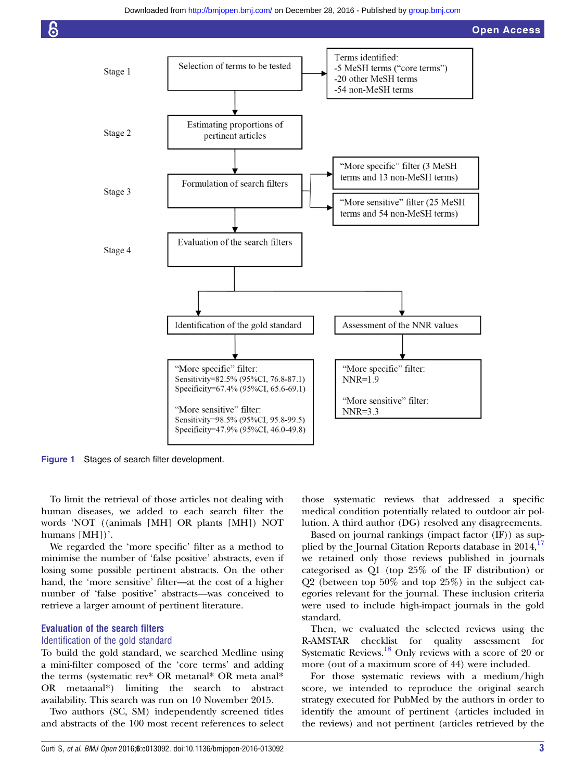<span id="page-2-0"></span>

Figure 1 Stages of search filter development.

To limit the retrieval of those articles not dealing with human diseases, we added to each search filter the words 'NOT ((animals [MH] OR plants [MH]) NOT humans [MH])'.

We regarded the 'more specific' filter as a method to minimise the number of 'false positive' abstracts, even if losing some possible pertinent abstracts. On the other hand, the 'more sensitive' filter—at the cost of a higher number of 'false positive' abstracts—was conceived to retrieve a larger amount of pertinent literature.

#### Evaluation of the search filters

#### Identification of the gold standard

To build the gold standard, we searched Medline using a mini-filter composed of the 'core terms' and adding the terms (systematic rev\* OR metanal\* OR meta anal\* OR metaanal\*) limiting the search to abstract availability. This search was run on 10 November 2015.

Two authors (SC, SM) independently screened titles and abstracts of the 100 most recent references to select

those systematic reviews that addressed a specific medical condition potentially related to outdoor air pollution. A third author (DG) resolved any disagreements.

Based on journal rankings (impact factor (IF)) as sup-plied by the Journal Citation Reports database in 2014,<sup>[17](#page-8-0)</sup> we retained only those reviews published in journals categorised as Q1 (top 25% of the IF distribution) or Q2 (between top 50% and top 25%) in the subject categories relevant for the journal. These inclusion criteria were used to include high-impact journals in the gold standard.

Then, we evaluated the selected reviews using the R-AMSTAR checklist for quality assessment for Systematic Reviews.[18](#page-8-0) Only reviews with a score of 20 or more (out of a maximum score of 44) were included.

For those systematic reviews with a medium/high score, we intended to reproduce the original search strategy executed for PubMed by the authors in order to identify the amount of pertinent (articles included in the reviews) and not pertinent (articles retrieved by the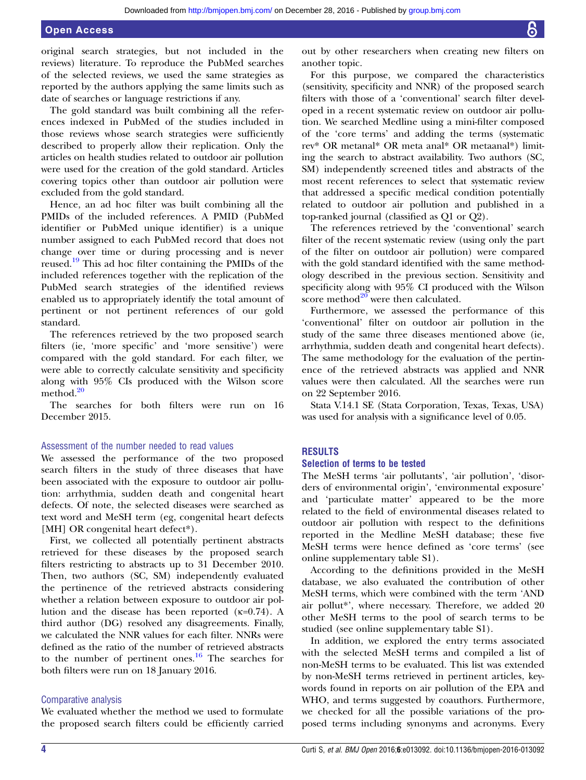#### Open Access

original search strategies, but not included in the reviews) literature. To reproduce the PubMed searches of the selected reviews, we used the same strategies as reported by the authors applying the same limits such as date of searches or language restrictions if any.

The gold standard was built combining all the references indexed in PubMed of the studies included in those reviews whose search strategies were sufficiently described to properly allow their replication. Only the articles on health studies related to outdoor air pollution were used for the creation of the gold standard. Articles covering topics other than outdoor air pollution were excluded from the gold standard.

Hence, an ad hoc filter was built combining all the PMIDs of the included references. A PMID (PubMed identifier or PubMed unique identifier) is a unique number assigned to each PubMed record that does not change over time or during processing and is never reused.[19](#page-8-0) This ad hoc filter containing the PMIDs of the included references together with the replication of the PubMed search strategies of the identified reviews enabled us to appropriately identify the total amount of pertinent or not pertinent references of our gold standard.

The references retrieved by the two proposed search filters (ie, 'more specific' and 'more sensitive') were compared with the gold standard. For each filter, we were able to correctly calculate sensitivity and specificity along with 95% CIs produced with the Wilson score method.<sup>[20](#page-8-0)</sup>

The searches for both filters were run on 16 December 2015.

#### Assessment of the number needed to read values

We assessed the performance of the two proposed search filters in the study of three diseases that have been associated with the exposure to outdoor air pollution: arrhythmia, sudden death and congenital heart defects. Of note, the selected diseases were searched as text word and MeSH term (eg, congenital heart defects [MH] OR congenital heart defect\*).

First, we collected all potentially pertinent abstracts retrieved for these diseases by the proposed search filters restricting to abstracts up to 31 December 2010. Then, two authors (SC, SM) independently evaluated the pertinence of the retrieved abstracts considering whether a relation between exposure to outdoor air pollution and the disease has been reported  $(\kappa=0.74)$ . A third author (DG) resolved any disagreements. Finally, we calculated the NNR values for each filter. NNRs were defined as the ratio of the number of retrieved abstracts to the number of pertinent ones.<sup>[16](#page-8-0)</sup> The searches for both filters were run on 18 January 2016.

#### Comparative analysis

We evaluated whether the method we used to formulate the proposed search filters could be efficiently carried

out by other researchers when creating new filters on another topic.

For this purpose, we compared the characteristics (sensitivity, specificity and NNR) of the proposed search filters with those of a 'conventional' search filter developed in a recent systematic review on outdoor air pollution. We searched Medline using a mini-filter composed of the 'core terms' and adding the terms (systematic rev\* OR metanal\* OR meta anal\* OR metaanal\*) limiting the search to abstract availability. Two authors (SC, SM) independently screened titles and abstracts of the most recent references to select that systematic review that addressed a specific medical condition potentially related to outdoor air pollution and published in a top-ranked journal (classified as Q1 or Q2).

The references retrieved by the 'conventional' search filter of the recent systematic review (using only the part of the filter on outdoor air pollution) were compared with the gold standard identified with the same methodology described in the previous section. Sensitivity and specificity along with 95% CI produced with the Wilson score method $^{20}$  $^{20}$  $^{20}$  were then calculated.

Furthermore, we assessed the performance of this 'conventional' filter on outdoor air pollution in the study of the same three diseases mentioned above (ie, arrhythmia, sudden death and congenital heart defects). The same methodology for the evaluation of the pertinence of the retrieved abstracts was applied and NNR values were then calculated. All the searches were run on 22 September 2016.

Stata V.14.1 SE (Stata Corporation, Texas, Texas, USA) was used for analysis with a significance level of 0.05.

#### RESULTS

#### Selection of terms to be tested

The MeSH terms 'air pollutants', 'air pollution', 'disorders of environmental origin', 'environmental exposure' and 'particulate matter' appeared to be the more related to the field of environmental diseases related to outdoor air pollution with respect to the definitions reported in the Medline MeSH database; these five MeSH terms were hence defined as 'core terms' (see online [supplementary table S1](http://dx.doi.org/10.1136/bmjopen-2016-013092)).

According to the definitions provided in the MeSH database, we also evaluated the contribution of other MeSH terms, which were combined with the term 'AND air pollut\*', where necessary. Therefore, we added 20 other MeSH terms to the pool of search terms to be studied (see online [supplementary table S1\)](http://dx.doi.org/10.1136/bmjopen-2016-013092).

In addition, we explored the entry terms associated with the selected MeSH terms and compiled a list of non-MeSH terms to be evaluated. This list was extended by non-MeSH terms retrieved in pertinent articles, keywords found in reports on air pollution of the EPA and WHO, and terms suggested by coauthors. Furthermore, we checked for all the possible variations of the proposed terms including synonyms and acronyms. Every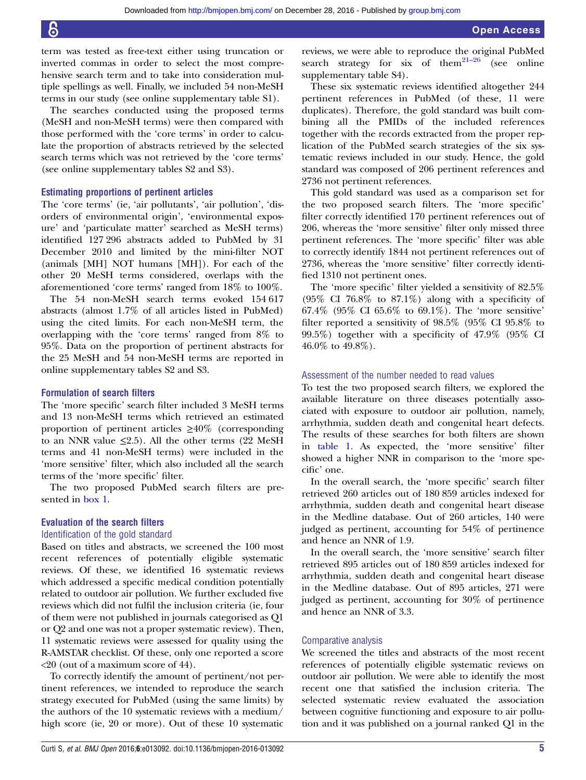term was tested as free-text either using truncation or inverted commas in order to select the most comprehensive search term and to take into consideration multiple spellings as well. Finally, we included 54 non-MeSH terms in our study (see online [supplementary table S1](http://dx.doi.org/10.1136/bmjopen-2016-013092)).

The searches conducted using the proposed terms (MeSH and non-MeSH terms) were then compared with those performed with the 'core terms' in order to calculate the proportion of abstracts retrieved by the selected search terms which was not retrieved by the 'core terms' (see online [supplementary tables S2 and S3](http://dx.doi.org/10.1136/bmjopen-2016-013092)).

#### Estimating proportions of pertinent articles

The 'core terms' (ie, 'air pollutants', 'air pollution', 'disorders of environmental origin', 'environmental exposure' and 'particulate matter' searched as MeSH terms) identified 127 296 abstracts added to PubMed by 31 December 2010 and limited by the mini-filter NOT (animals [MH] NOT humans [MH]). For each of the other 20 MeSH terms considered, overlaps with the aforementioned 'core terms' ranged from 18% to 100%.

The 54 non-MeSH search terms evoked 154 617 abstracts (almost 1.7% of all articles listed in PubMed) using the cited limits. For each non-MeSH term, the overlapping with the 'core terms' ranged from 8% to 95%. Data on the proportion of pertinent abstracts for the 25 MeSH and 54 non-MeSH terms are reported in online [supplementary tables S2 and S3](http://dx.doi.org/10.1136/bmjopen-2016-013092).

#### Formulation of search filters

The 'more specific' search filter included 3 MeSH terms and 13 non-MeSH terms which retrieved an estimated proportion of pertinent articles ≥40% (corresponding to an NNR value  $\leq$ 2.5). All the other terms (22 MeSH terms and 41 non-MeSH terms) were included in the 'more sensitive' filter, which also included all the search terms of the 'more specific' filter.

The two proposed PubMed search filters are presented in [box 1](#page-5-0).

#### Evaluation of the search filters

#### Identification of the gold standard

Based on titles and abstracts, we screened the 100 most recent references of potentially eligible systematic reviews. Of these, we identified 16 systematic reviews which addressed a specific medical condition potentially related to outdoor air pollution. We further excluded five reviews which did not fulfil the inclusion criteria (ie, four of them were not published in journals categorised as Q1 or Q2 and one was not a proper systematic review). Then, 11 systematic reviews were assessed for quality using the R-AMSTAR checklist. Of these, only one reported a score <20 (out of a maximum score of 44).

To correctly identify the amount of pertinent/not pertinent references, we intended to reproduce the search strategy executed for PubMed (using the same limits) by the authors of the 10 systematic reviews with a medium/ high score (ie, 20 or more). Out of these 10 systematic

reviews, we were able to reproduce the original PubMed search strategy for six of them<sup>21–[26](#page-8-0)</sup> (see online [supplementary table S4](http://dx.doi.org/10.1136/bmjopen-2016-013092)).

These six systematic reviews identified altogether 244 pertinent references in PubMed (of these, 11 were duplicates). Therefore, the gold standard was built combining all the PMIDs of the included references together with the records extracted from the proper replication of the PubMed search strategies of the six systematic reviews included in our study. Hence, the gold standard was composed of 206 pertinent references and 2736 not pertinent references.

This gold standard was used as a comparison set for the two proposed search filters. The 'more specific' filter correctly identified 170 pertinent references out of 206, whereas the 'more sensitive' filter only missed three pertinent references. The 'more specific' filter was able to correctly identify 1844 not pertinent references out of 2736, whereas the 'more sensitive' filter correctly identified 1310 not pertinent ones.

The 'more specific' filter yielded a sensitivity of 82.5% (95% CI 76.8% to 87.1%) along with a specificity of 67.4% (95% CI 65.6% to 69.1%). The 'more sensitive' filter reported a sensitivity of 98.5% (95% CI 95.8% to 99.5%) together with a specificity of 47.9% (95% CI 46.0% to 49.8%).

#### Assessment of the number needed to read values

To test the two proposed search filters, we explored the available literature on three diseases potentially associated with exposure to outdoor air pollution, namely, arrhythmia, sudden death and congenital heart defects. The results of these searches for both filters are shown in [table 1](#page-6-0). As expected, the 'more sensitive' filter showed a higher NNR in comparison to the 'more specific' one.

In the overall search, the 'more specific' search filter retrieved 260 articles out of 180 859 articles indexed for arrhythmia, sudden death and congenital heart disease in the Medline database. Out of 260 articles, 140 were judged as pertinent, accounting for 54% of pertinence and hence an NNR of 1.9.

In the overall search, the 'more sensitive' search filter retrieved 895 articles out of 180 859 articles indexed for arrhythmia, sudden death and congenital heart disease in the Medline database. Out of 895 articles, 271 were judged as pertinent, accounting for 30% of pertinence and hence an NNR of 3.3.

#### Comparative analysis

We screened the titles and abstracts of the most recent references of potentially eligible systematic reviews on outdoor air pollution. We were able to identify the most recent one that satisfied the inclusion criteria. The selected systematic review evaluated the association between cognitive functioning and exposure to air pollution and it was published on a journal ranked Q1 in the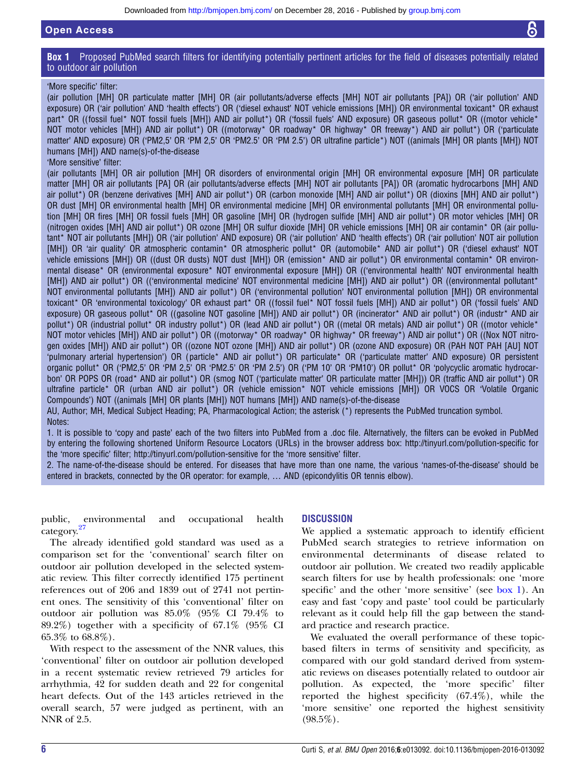Downloaded from<http://bmjopen.bmj.com/>on December 28, 2016 - Published by [group.bmj.com](http://group.bmj.com)

### <span id="page-5-0"></span>Open Access

Box 1 Proposed PubMed search filters for identifying potentially pertinent articles for the field of diseases potentially related to outdoor air pollution

#### 'More specific' filter:

(air pollution [MH] OR particulate matter [MH] OR (air pollutants/adverse effects [MH] NOT air pollutants [PA]) OR ('air pollution' AND exposure) OR ('air pollution' AND 'health effects') OR ('diesel exhaust' NOT vehicle emissions [MH]) OR environmental toxicant\* OR exhaust part\* OR ((fossil fuel\* NOT fossil fuels [MH]) AND air pollut\*) OR ('fossil fuels' AND exposure) OR gaseous pollut\* OR ((motor vehicle\* NOT motor vehicles [MH]) AND air pollut\*) OR ((motorway\* OR roadway\* OR highway\* OR freeway\*) AND air pollut\*) OR ('particulate matter' AND exposure) OR ('PM2,5' OR 'PM 2,5' OR 'PM2.5' OR 'PM 2.5') OR ultrafine particle\*) NOT ((animals [MH] OR plants [MH]) NOT humans [MH]) AND name(s)-of-the-disease

#### 'More sensitive' filter:

(air pollutants [MH] OR air pollution [MH] OR disorders of environmental origin [MH] OR environmental exposure [MH] OR particulate matter [MH] OR air pollutants [PA] OR (air pollutants/adverse effects [MH] NOT air pollutants [PA]) OR (aromatic hydrocarbons [MH] AND air pollut\*) OR (benzene derivatives [MH] AND air pollut\*) OR (carbon monoxide [MH] AND air pollut\*) OR (dioxins [MH] AND air pollut\*) OR dust [MH] OR environmental health [MH] OR environmental medicine [MH] OR environmental pollutants [MH] OR environmental pollution [MH] OR fires [MH] OR fossil fuels [MH] OR gasoline [MH] OR (hydrogen sulfide [MH] AND air pollut\*) OR motor vehicles [MH] OR (nitrogen oxides [MH] AND air pollut\*) OR ozone [MH] OR sulfur dioxide [MH] OR vehicle emissions [MH] OR air contamin\* OR (air pollutant\* NOT air pollutants [MH]) OR ('air pollution' AND exposure) OR ('air pollution' AND 'health effects') OR ('air pollution' NOT air pollution [MH]) OR 'air quality' OR atmospheric contamin\* OR atmospheric pollut\* OR (automobile\* AND air pollut\*) OR ('diesel exhaust' NOT vehicle emissions [MH]) OR ((dust OR dusts) NOT dust [MH]) OR (emission\* AND air pollut\*) OR environmental contamin\* OR environmental disease\* OR (environmental exposure\* NOT environmental exposure [MH]) OR (('environmental health' NOT environmental health [MH]) AND air pollut\*) OR (('environmental medicine' NOT environmental medicine [MH]) AND air pollut\*) OR ((environmental pollutant\* NOT environmental pollutants [MH]) AND air pollut\*) OR ('environmental pollution' NOT environmental pollution [MH]) OR environmental toxicant\* OR 'environmental toxicology' OR exhaust part\* OR ((fossil fuel\* NOT fossil fuels [MH]) AND air pollut\*) OR ('fossil fuels' AND exposure) OR gaseous pollut\* OR ((gasoline NOT gasoline [MH]) AND air pollut\*) OR (incinerator\* AND air pollut\*) OR (industr\* AND air pollut\*) OR (industrial pollut\* OR industry pollut\*) OR (lead AND air pollut\*) OR ((metal OR metals) AND air pollut\*) OR ((motor vehicle\* NOT motor vehicles [MH]) AND air pollut\*) OR ((motorway\* OR roadway\* OR highway\* OR freeway\*) AND air pollut\*) OR ((Nox NOT nitrogen oxides [MH]) AND air pollut\*) OR ((ozone NOT ozone [MH]) AND air pollut\*) OR (ozone AND exposure) OR (PAH NOT PAH [AU] NOT 'pulmonary arterial hypertension') OR (particle\* AND air pollut\*) OR particulate\* OR ('particulate matter' AND exposure) OR persistent organic pollut\* OR ('PM2,5' OR 'PM 2,5' OR 'PM2.5' OR 'PM 2.5') OR ('PM 10' OR 'PM10') OR pollut\* OR 'polycyclic aromatic hydrocarbon' OR POPS OR (road\* AND air pollut\*) OR (smog NOT ('particulate matter' OR particulate matter [MH])) OR (traffic AND air pollut\*) OR ultrafine particle\* OR (urban AND air pollut\*) OR (vehicle emission\* NOT vehicle emissions [MH]) OR VOCS OR 'Volatile Organic Compounds') NOT ((animals [MH] OR plants [MH]) NOT humans [MH]) AND name(s)-of-the-disease

AU, Author; MH, Medical Subject Heading; PA, Pharmacological Action; the asterisk (\*) represents the PubMed truncation symbol. Notes:

1. It is possible to 'copy and paste' each of the two filters into PubMed from a .doc file. Alternatively, the filters can be evoked in PubMed by entering the following shortened Uniform Resource Locators (URLs) in the browser address box: [http://tinyurl.com/pollution-specific](http://tinyurl.com/pollution-specific-temporary3) for the 'more specific' filter; [http://tinyurl.com/pollution-sensitive](http://tinyurl.com/pollution-sensitive-temporary3) for the 'more sensitive' filter.

2. The name-of-the-disease should be entered. For diseases that have more than one name, the various 'names-of-the-disease' should be entered in brackets, connected by the OR operator: for example, … AND (epicondylitis OR tennis elbow).

public, environmental and occupational health category.[27](#page-8-0)

#### **DISCUSSION**

The already identified gold standard was used as a comparison set for the 'conventional' search filter on outdoor air pollution developed in the selected systematic review. This filter correctly identified 175 pertinent references out of 206 and 1839 out of 2741 not pertinent ones. The sensitivity of this 'conventional' filter on outdoor air pollution was 85.0% (95% CI 79.4% to 89.2%) together with a specificity of 67.1% (95% CI 65.3% to 68.8%).

With respect to the assessment of the NNR values, this 'conventional' filter on outdoor air pollution developed in a recent systematic review retrieved 79 articles for arrhythmia, 42 for sudden death and 22 for congenital heart defects. Out of the 143 articles retrieved in the overall search, 57 were judged as pertinent, with an NNR of 2.5.

We applied a systematic approach to identify efficient PubMed search strategies to retrieve information on environmental determinants of disease related to outdoor air pollution. We created two readily applicable search filters for use by health professionals: one 'more specific' and the other 'more sensitive' (see box 1). An easy and fast 'copy and paste' tool could be particularly relevant as it could help fill the gap between the standard practice and research practice.

We evaluated the overall performance of these topicbased filters in terms of sensitivity and specificity, as compared with our gold standard derived from systematic reviews on diseases potentially related to outdoor air pollution. As expected, the 'more specific' filter reported the highest specificity (67.4%), while the 'more sensitive' one reported the highest sensitivity  $(98.5\%)$ .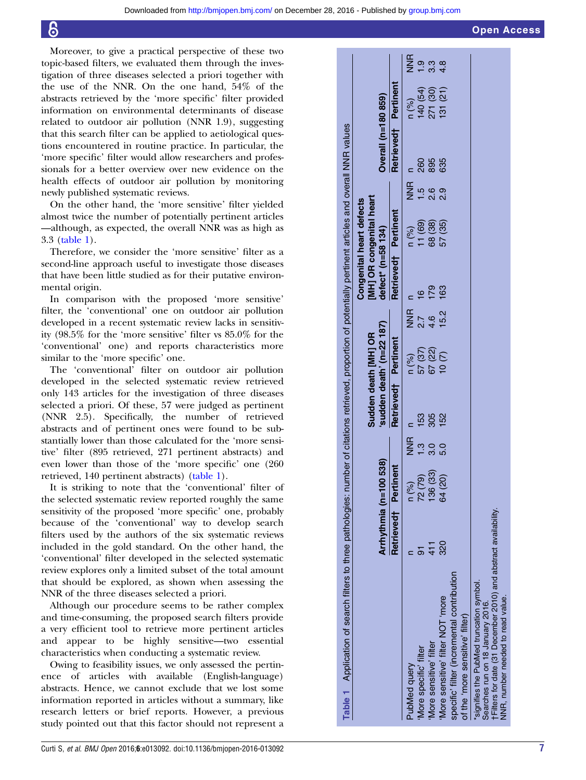<span id="page-6-0"></span>Moreover, to give a practical perspective of these two topic-based filters, we evaluated them through the investigation of three diseases selected a priori together with the use of the NNR. On the one hand, 54% of the abstracts retrieved by the 'more specific' filter provided information on environmental determinants of disease related to outdoor air pollution (NNR 1.9), suggesting that this search filter can be applied to aetiological questions encountered in routine practice. In particular, the 'more specific' filter would allow researchers and professionals for a better overview over new evidence on the health effects of outdoor air pollution by monitoring newly published systematic reviews.

On the other hand, the 'more sensitive' filter yielded almost twice the number of potentially pertinent articles —although, as expected, the overall NNR was as high as 3.3 (table 1).

Therefore, we consider the 'more sensitive' filter as a second-line approach useful to investigate those diseases that have been little studied as for their putative environmental origin.

In comparison with the proposed 'more sensitive' filter, the 'conventional' one on outdoor air pollution developed in a recent systematic review lacks in sensitivity (98.5% for the 'more sensitive' filter vs 85.0% for the 'conventional' one) and reports characteristics more similar to the 'more specific' one.

The 'conventional' filter on outdoor air pollution developed in the selected systematic review retrieved only 143 articles for the investigation of three diseases selected a priori. Of these, 57 were judged as pertinent (NNR 2.5). Specifically, the number of retrieved abstracts and of pertinent ones were found to be substantially lower than those calculated for the 'more sensitive' filter (895 retrieved, 271 pertinent abstracts) and even lower than those of the 'more specific' one (260 retrieved, 140 pertinent abstracts) (table 1).

It is striking to note that the 'conventional' filter of the selected systematic review reported roughly the same sensitivity of the proposed 'more specific' one, probably because of the 'conventional' way to develop search filters used by the authors of the six systematic reviews included in the gold standard. On the other hand, the 'conventional' filter developed in the selected systematic review explores only a limited subset of the total amount that should be explored, as shown when assessing the NNR of the three diseases selected a priori.

Although our procedure seems to be rather complex and time-consuming, the proposed search filters provide a very efficient tool to retrieve more pertinent articles and appear to be highly sensitive—two essential characteristics when conducting a systematic review.

Owing to feasibility issues, we only assessed the pertinence of articles with available (English-language) abstracts. Hence, we cannot exclude that we lost some information reported in articles without a summary, like research letters or brief reports. However, a previous study pointed out that this factor should not represent a

| BMJ<br>Curti S. et al.<br>$\sim$ $\sim$ | / Open 2016;6:e013092.<br>;6:e013092. doi:10.1136/bmjopen-2016-013092 |  |
|-----------------------------------------|-----------------------------------------------------------------------|--|

|                                                                                                                                                                                       | Arrhythmia (n=100 538) |                          |         | 'sudden death' (n=22 187)<br>Sudden death [MH] OR |                    |                  | [MH] OR congenital heart<br>Congenital heart defects<br>defect* (n=58 134) |                    |                       | Overall (n=180 859) |                      |                  |
|---------------------------------------------------------------------------------------------------------------------------------------------------------------------------------------|------------------------|--------------------------|---------|---------------------------------------------------|--------------------|------------------|----------------------------------------------------------------------------|--------------------|-----------------------|---------------------|----------------------|------------------|
|                                                                                                                                                                                       | Retrieved† Pertinent   |                          |         | Retrieved† Pertinent                              |                    |                  | Retrieved† Pertinent                                                       |                    |                       | Retrieved†          | Pertinent            |                  |
| PubMed query                                                                                                                                                                          |                        | n (%)                    | n<br>MK |                                                   | $n$ $\binom{9}{0}$ | m<br>MN          |                                                                            | n (%)              | NR<br>N               |                     | 1 (%)                | <b>SHR</b>       |
| More specific' filter                                                                                                                                                                 |                        | 72 (79)                  | 1.3     | 153                                               | 57 (37)            | $\overline{2.7}$ | $\overline{6}$                                                             | (69)               |                       | 260                 | 140 (54)             | <u>ო</u>         |
| More sensitive' filter                                                                                                                                                                | $\frac{1}{4}$          | 6 (33)<br>$\frac{86}{3}$ | 3.0     | 305                                               |                    | 4.6              | 179                                                                        |                    | 5<br>10 0 0<br>10 0 1 | 895                 |                      | $3.\overline{3}$ |
| More sensitive' filter NOT 'more                                                                                                                                                      | 320                    | (20)<br>$\frac{4}{3}$    | 5.0     | 152                                               | 67 (22)<br>10 (7)  | 15.2             | 163                                                                        | 68 (38)<br>57 (35) |                       | 635                 | 271 (30)<br>131 (21) | $\frac{8}{1}$    |
| specific' filter (incremental contribution<br>of the 'more sensitive' filter)                                                                                                         |                        |                          |         |                                                   |                    |                  |                                                                            |                    |                       |                     |                      |                  |
| † Filters for date (31 December 2010) and abstract availability.<br>*signifies the PubMed truncation symbol.<br>NNR, number needed to read value.<br>Searches run on 18 January 2016. |                        |                          |         |                                                   |                    |                  |                                                                            |                    |                       |                     |                      |                  |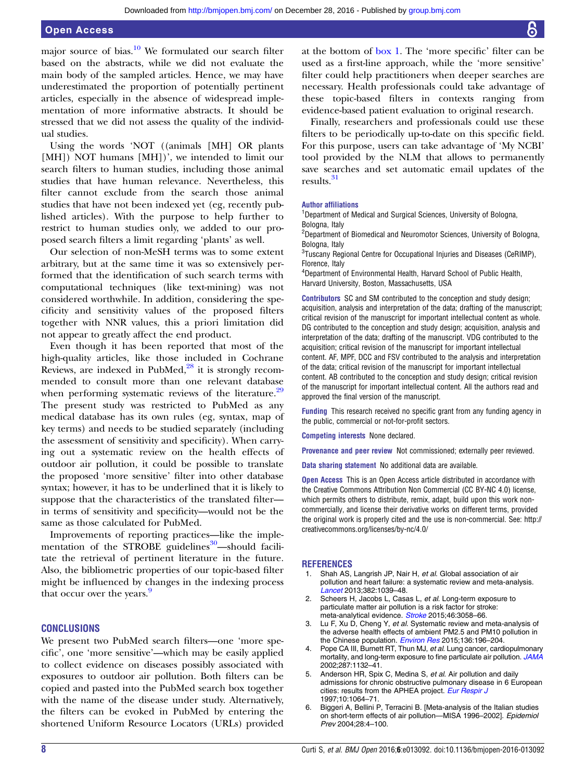<span id="page-7-0"></span>major source of bias. $10$  We formulated our search filter based on the abstracts, while we did not evaluate the main body of the sampled articles. Hence, we may have underestimated the proportion of potentially pertinent articles, especially in the absence of widespread implementation of more informative abstracts. It should be stressed that we did not assess the quality of the individual studies.

Using the words 'NOT ((animals [MH] OR plants [MH]) NOT humans [MH])', we intended to limit our search filters to human studies, including those animal studies that have human relevance. Nevertheless, this filter cannot exclude from the search those animal studies that have not been indexed yet (eg, recently published articles). With the purpose to help further to restrict to human studies only, we added to our proposed search filters a limit regarding 'plants' as well.

Our selection of non-MeSH terms was to some extent arbitrary, but at the same time it was so extensively performed that the identification of such search terms with computational techniques (like text-mining) was not considered worthwhile. In addition, considering the specificity and sensitivity values of the proposed filters together with NNR values, this a priori limitation did not appear to greatly affect the end product.

Even though it has been reported that most of the high-quality articles, like those included in Cochrane Reviews, are indexed in PubMed, $28$  it is strongly recommended to consult more than one relevant database when performing systematic reviews of the literature.<sup>[29](#page-8-0)</sup> The present study was restricted to PubMed as any medical database has its own rules (eg, syntax, map of key terms) and needs to be studied separately (including the assessment of sensitivity and specificity). When carrying out a systematic review on the health effects of outdoor air pollution, it could be possible to translate the proposed 'more sensitive' filter into other database syntax; however, it has to be underlined that it is likely to suppose that the characteristics of the translated filter in terms of sensitivity and specificity—would not be the same as those calculated for PubMed.

Improvements of reporting practices—like the implementation of the STROBE guidelines $30$ —should facilitate the retrieval of pertinent literature in the future. Also, the bibliometric properties of our topic-based filter might be influenced by changes in the indexing process that occur over the years.<sup>[9](#page-8-0)</sup>

#### **CONCLUSIONS**

We present two PubMed search filters—one 'more specific', one 'more sensitive'—which may be easily applied to collect evidence on diseases possibly associated with exposures to outdoor air pollution. Both filters can be copied and pasted into the PubMed search box together with the name of the disease under study. Alternatively, the filters can be evoked in PubMed by entering the shortened Uniform Resource Locators (URLs) provided

at the bottom of [box 1](#page-5-0). The 'more specific' filter can be used as a first-line approach, while the 'more sensitive' filter could help practitioners when deeper searches are necessary. Health professionals could take advantage of these topic-based filters in contexts ranging from evidence-based patient evaluation to original research.

Finally, researchers and professionals could use these filters to be periodically up-to-date on this specific field. For this purpose, users can take advantage of 'My NCBI' tool provided by the NLM that allows to permanently save searches and set automatic email updates of the results.[31](#page-8-0)

#### Author affiliations

<sup>1</sup>Department of Medical and Surgical Sciences, University of Bologna, Bologna, Italy

<sup>2</sup>Department of Biomedical and Neuromotor Sciences, University of Bologna, Bologna, Italy

<sup>3</sup>Tuscany Regional Centre for Occupational Injuries and Diseases (CeRIMP), Florence, Italy

4 Department of Environmental Health, Harvard School of Public Health, Harvard University, Boston, Massachusetts, USA

Contributors SC and SM contributed to the conception and study design; acquisition, analysis and interpretation of the data; drafting of the manuscript; critical revision of the manuscript for important intellectual content as whole. DG contributed to the conception and study design; acquisition, analysis and interpretation of the data; drafting of the manuscript. VDG contributed to the acquisition; critical revision of the manuscript for important intellectual content. AF, MPF, DCC and FSV contributed to the analysis and interpretation of the data; critical revision of the manuscript for important intellectual content. AB contributed to the conception and study design; critical revision of the manuscript for important intellectual content. All the authors read and approved the final version of the manuscript.

Funding This research received no specific grant from any funding agency in the public, commercial or not-for-profit sectors.

Competing interests None declared.

Provenance and peer review Not commissioned; externally peer reviewed.

Data sharing statement No additional data are available.

Open Access This is an Open Access article distributed in accordance with the Creative Commons Attribution Non Commercial (CC BY-NC 4.0) license, which permits others to distribute, remix, adapt, build upon this work noncommercially, and license their derivative works on different terms, provided the original work is properly cited and the use is non-commercial. See: [http://](http://creativecommons.org/licenses/by-nc/4.0/) [creativecommons.org/licenses/by-nc/4.0/](http://creativecommons.org/licenses/by-nc/4.0/)

#### **REFERENCES**

- 1. Shah AS, Langrish JP, Nair H, et al. Global association of air pollution and heart failure: a systematic review and meta-analysis. [Lancet](http://dx.doi.org/10.1016/S0140-6736(13)60898-3) 2013;382:1039–48.
- 2. Scheers H, Jacobs L, Casas L, et al. Long-term exposure to particulate matter air pollution is a risk factor for stroke: meta-analytical evidence. [Stroke](http://dx.doi.org/10.1161/STROKEAHA.115.009913) 2015;46:3058-66.
- 3. Lu F, Xu D, Cheng Y, et al. Systematic review and meta-analysis of the adverse health effects of ambient PM2.5 and PM10 pollution in the Chinese population. [Environ Res](http://dx.doi.org/10.1016/j.envres.2014.06.029) 2015;136:196-204
- 4. Pope CA III, Burnett RT, Thun MJ, et al. Lung cancer, cardiopulmonary mortality, and long-term exposure to fine particulate air pollution. [JAMA](http://dx.doi.org/10.1001/jama.287.9.1132) 2002;287:1132–41.
- 5. Anderson HR, Spix C, Medina S, et al. Air pollution and daily admissions for chronic obstructive pulmonary disease in 6 European cities: results from the APHEA project. [Eur Respir J](http://dx.doi.org/10.1183/09031936.97.10051064) 1997;10:1064–71.
- 6. Biggeri A, Bellini P, Terracini B. [Meta-analysis of the Italian studies on short-term effects of air pollution—MISA 1996–2002]. Epidemiol Prev 2004;28:4–100.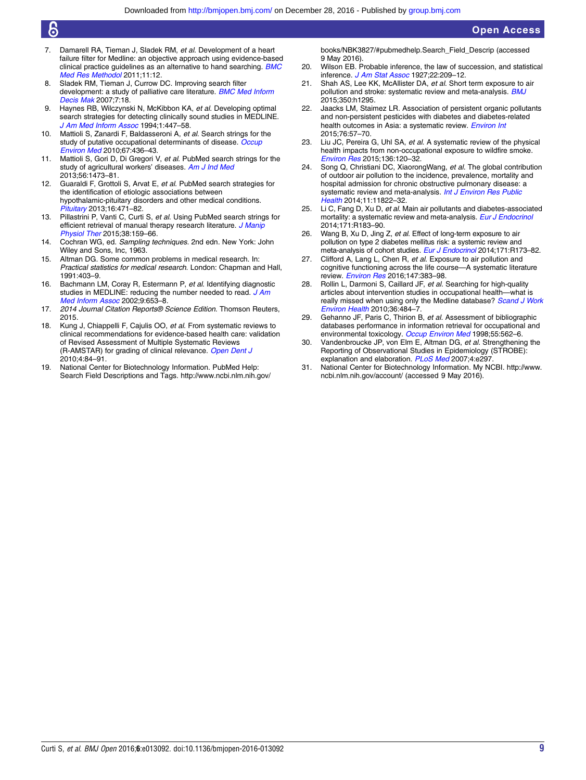- <span id="page-8-0"></span>7. Damarell RA, Tieman J, Sladek RM, et al. Development of a heart failure filter for Medline: an objective approach using evidence-based clinical practice guidelines as an alternative to hand searching. [BMC](http://dx.doi.org/10.1186/1471-2288-11-12) [Med Res Methodol](http://dx.doi.org/10.1186/1471-2288-11-12) 2011;11:12.
- 8. Sladek RM, Tieman J, Currow DC. Improving search filter development: a study of palliative care literature. [BMC Med Inform](http://dx.doi.org/10.1186/1472-6947-7-18) [Decis Mak](http://dx.doi.org/10.1186/1472-6947-7-18) 2007;7:18.
- 9. Haynes RB, Wilczynski N, McKibbon KA, et al. Developing optimal search strategies for detecting clinically sound studies in MEDLINE. [J Am Med Inform Assoc](http://dx.doi.org/10.1136/jamia.1994.95153434) 1994;1:447–58.
- 10. Mattioli S, Zanardi F, Baldasseroni A, et al. Search strings for the study of putative occupational determinants of disease. [Occup](http://dx.doi.org/10.1136/oem.2008.044727) [Environ Med](http://dx.doi.org/10.1136/oem.2008.044727) 2010;67:436–43.
- 11. Mattioli S, Gori D, Di Gregori V, et al. PubMed search strings for the study of agricultural workers' diseases. [Am J Ind Med](http://dx.doi.org/10.1002/ajim.22252) 2013;56:1473–81.
- 12. Guaraldi F, Grottoli S, Arvat E, et al. PubMed search strategies for the identification of etiologic associations between hypothalamic-pituitary disorders and other medical conditions. [Pituitary](http://dx.doi.org/10.1007/s11102-012-0443-3) 2013;16:471–82.
- 13. Pillastrini P, Vanti C, Curti S, et al. Using PubMed search strings for efficient retrieval of manual therapy research literature. [J Manip](http://dx.doi.org/10.1016/j.jmpt.2014.11.005) [Physiol Ther](http://dx.doi.org/10.1016/j.jmpt.2014.11.005) 2015;38:159–66.
- 14. Cochran WG, ed. Sampling techniques. 2nd edn. New York: John Wiley and Sons, Inc, 1963.
- 15. Altman DG. Some common problems in medical research. In: Practical statistics for medical research. London: Chapman and Hall, 1991:403–9.
- 16. Bachmann LM, Coray R, Estermann P, et al. Identifying diagnostic studies in MEDLINE: reducing the number needed to read.  $JAm$ [Med Inform Assoc](http://dx.doi.org/10.1197/jamia.M1124) 2002;9:653–8.
- 17. 2014 Journal Citation Reports® Science Edition. Thomson Reuters, 2015.
- 18. Kung J, Chiappelli F, Cajulis OO, et al. From systematic reviews to clinical recommendations for evidence-based health care: validation of Revised Assessment of Multiple Systematic Reviews (R-AMSTAR) for grading of clinical relevance. [Open Dent J](http://dx.doi.org/10.2174/1874210601004020084) 2010;4:84–91.
- 19. National Center for Biotechnology Information. PubMed Help: Search Field Descriptions and Tags. [http://www.ncbi.nlm.nih.gov/](http://www.ncbi.nlm.nih.gov/books/NBK3827/#pubmedhelp.Search_Field_Descrip)

[books/NBK3827/#pubmedhelp.Search\\_Field\\_Descrip](http://www.ncbi.nlm.nih.gov/books/NBK3827/#pubmedhelp.Search_Field_Descrip) (accessed 9 May 2016).

- 20. Wilson EB. Probable inference, the law of succession, and statistical inference. [J Am Stat Assoc](http://dx.doi.org/10.1080/01621459.1927.10502953) 1927;22:209–12.
- 21. Shah AS, Lee KK, McAllister DA, et al. Short term exposure to air pollution and stroke: systematic review and meta-analysis. **[BMJ](http://dx.doi.org/10.1136/bmj.h1295)** 2015;350:h1295.
- Jaacks LM, Staimez LR. Association of persistent organic pollutants and non-persistent pesticides with diabetes and diabetes-related health outcomes in Asia: a systematic review. [Environ Int](http://dx.doi.org/10.1016/j.envint.2014.12.001) 2015;76:57–70.
- 23. Liu JC, Pereira G, Uhl SA, et al. A systematic review of the physical health impacts from non-occupational exposure to wildfire smoke. [Environ Res](http://dx.doi.org/10.1016/j.envres.2014.10.015) 2015;136:120–32.
- 24. Song Q, Christiani DC, XiaorongWang, et al. The global contribution of outdoor air pollution to the incidence, prevalence, mortality and hospital admission for chronic obstructive pulmonary disease: a systematic review and meta-analysis. [Int J Environ Res Public](http://dx.doi.org/10.3390/ijerph111111822) [Health](http://dx.doi.org/10.3390/ijerph111111822) 2014;11:11822–32.
- 25. Li C, Fang D, Xu D, et al. Main air pollutants and diabetes-associated mortality: a systematic review and meta-analysis. [Eur J Endocrinol](http://dx.doi.org/10.1530/EJE-14-0287) 2014;171:R183–90.
- 26. Wang B, Xu D, Jing Z, et al. Effect of long-term exposure to air pollution on type 2 diabetes mellitus risk: a systemic review and meta-analysis of cohort studies. [Eur J Endocrinol](http://dx.doi.org/10.1530/EJE-14-0365) 2014;171:R173-82.
- 27. Clifford A, Lang L, Chen R, et al. Exposure to air pollution and cognitive functioning across the life course—A systematic literature review. [Environ Res](http://dx.doi.org/10.1016/j.envres.2016.01.018) 2016;147:383–98.
- 28. Rollin L, Darmoni S, Caillard JF, et al. Searching for high-quality articles about intervention studies in occupational health—what is really missed when using only the Medline database? [Scand J Work](http://dx.doi.org/10.5271/sjweh.3082) [Environ Health](http://dx.doi.org/10.5271/sjweh.3082) 2010;36:484–7.
- 29. Gehanno JF, Paris C, Thirion B, et al. Assessment of bibliographic databases performance in information retrieval for occupational and environmental toxicology. [Occup Environ Med](http://dx.doi.org/10.1136/oem.55.8.562) 1998;55:562-6.
- 30. Vandenbroucke JP, von Elm E, Altman DG, et al. Strengthening the Reporting of Observational Studies in Epidemiology (STROBE): explanation and elaboration. [PLoS Med](http://dx.doi.org/10.1371/journal.pmed.0040297) 2007;4:e297
- 31. National Center for Biotechnology Information. My NCBI. [http://www.](http://www.ncbi.nlm.nih.gov/account/) [ncbi.nlm.nih.gov/account/](http://www.ncbi.nlm.nih.gov/account/) (accessed 9 May 2016).